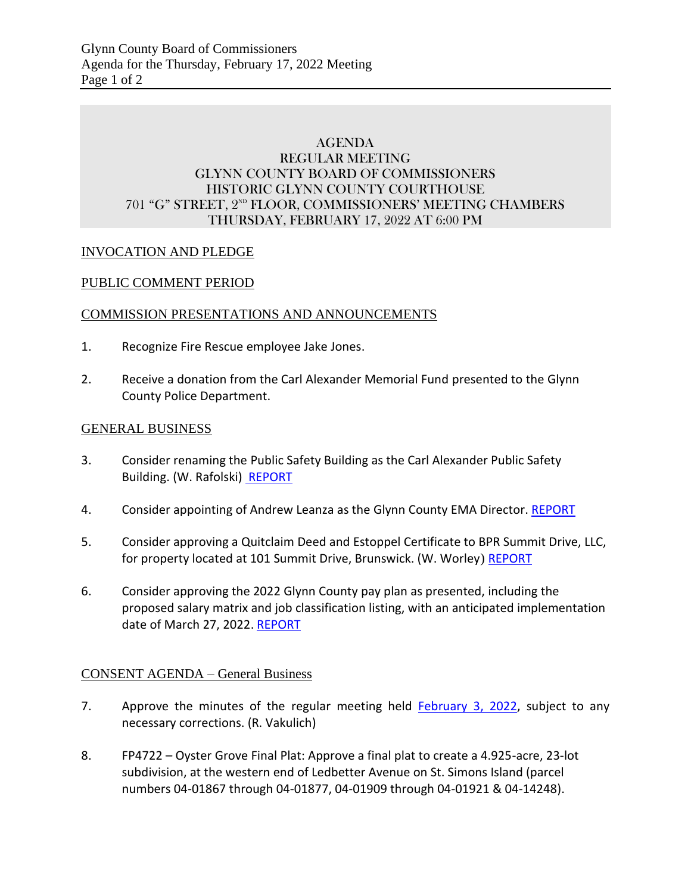### AGENDA REGULAR MEETING GLYNN COUNTY BOARD OF COMMISSIONERS HISTORIC GLYNN COUNTY COURTHOUSE 701 "G" STREET, 2<sup>ND</sup> FLOOR, COMMISSIONERS' MEETING CHAMBERS THURSDAY, FEBRUARY 17, 2022 AT 6:00 PM

### INVOCATION AND PLEDGE

#### PUBLIC COMMENT PERIOD

#### COMMISSION PRESENTATIONS AND ANNOUNCEMENTS

- 1. Recognize Fire Rescue employee Jake Jones.
- 2. Receive a donation from the Carl Alexander Memorial Fund presented to the Glynn County Police Department.

#### GENERAL BUSINESS

- 3. Consider renaming the Public Safety Building as the Carl Alexander Public Safety Building. (W. Rafolski) [REPORT](https://glynncounty.org/DocumentCenter/View/74707/Application---Carl-Alexander-Public-Safety-Building)
- 4. Consider appointing of Andrew Leanza as the Glynn County EMA Director. [REPORT](https://glynncounty.org/DocumentCenter/View/74777/EMERGENCY-MANAGEMNET-DIRECTOR-CANDIDATE_ANDREW-LEANZA_Redacted_02172022-002)
- 5. Consider approving a Quitclaim Deed and Estoppel Certificate to BPR Summit Drive, LLC, for property located at 101 Summit Drive, Brunswick. (W. Worley) REPORT
- 6. Consider approving the 2022 Glynn County pay plan as presented, including the proposed salary matrix and job classification listing, with an anticipated implementation date of March 27, 2022. [REPORT](https://glynncounty.org/DocumentCenter/View/74757/Pay-Plan-Adoption-Packet-for-BOC)

### CONSENT AGENDA – General Business

- 7. Approve the minutes of the regular meeting held [February 3, 2022,](https://glynncounty.org/DocumentCenter/View/74675/February-3-2022-) subject to any necessary corrections. (R. Vakulich)
- 8. FP4722 Oyster Grove Final Plat: Approve a final plat to create a 4.925-acre, 23-lot subdivision, at the western end of Ledbetter Avenue on St. Simons Island (parcel numbers 04-01867 through 04-01877, 04-01909 through 04-01921 & 04-14248).